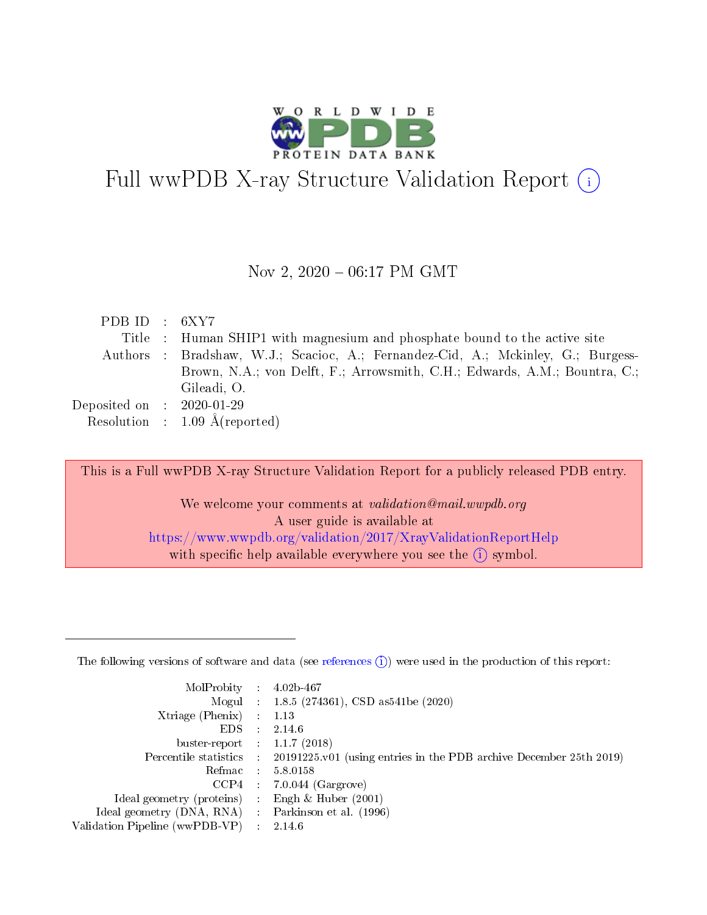

# Full wwPDB X-ray Structure Validation Report  $(i)$

#### Nov 2, 2020 - 06:17 PM GMT

| PDB ID : $6XY7$             |                                                                                  |
|-----------------------------|----------------------------------------------------------------------------------|
|                             | Title : Human SHIP1 with magnesium and phosphate bound to the active site        |
|                             | Authors : Bradshaw, W.J.; Scacioc, A.; Fernandez-Cid, A.; Mckinley, G.; Burgess- |
|                             | Brown, N.A.; von Delft, F.; Arrowsmith, C.H.; Edwards, A.M.; Bountra, C.;        |
|                             | Gileadi, O.                                                                      |
| Deposited on : $2020-01-29$ |                                                                                  |
|                             | Resolution : $1.09 \text{ Å}$ (reported)                                         |

This is a Full wwPDB X-ray Structure Validation Report for a publicly released PDB entry.

We welcome your comments at validation@mail.wwpdb.org A user guide is available at <https://www.wwpdb.org/validation/2017/XrayValidationReportHelp> with specific help available everywhere you see the  $(i)$  symbol.

The following versions of software and data (see [references](https://www.wwpdb.org/validation/2017/XrayValidationReportHelp#references)  $(1)$ ) were used in the production of this report:

| MolProbity                     | $\sim$        | $4.02b - 467$                                                      |
|--------------------------------|---------------|--------------------------------------------------------------------|
|                                |               | Mogul : $1.8.5$ (274361), CSD as 541be (2020)                      |
| Xtriage (Phenix)               | $\mathcal{L}$ | 1.13                                                               |
| EDS.                           |               | 2.14.6                                                             |
| buster-report : $1.1.7$ (2018) |               |                                                                    |
| Percentile statistics :        |               | 20191225.v01 (using entries in the PDB archive December 25th 2019) |
| Refmac :                       |               | 5.8.0158                                                           |
| CCP4                           |               | $7.0.044$ (Gargrove)                                               |
| Ideal geometry (proteins) :    |               | Engh $\&$ Huber (2001)                                             |
| Ideal geometry (DNA, RNA) :    |               | Parkinson et al. (1996)                                            |
| Validation Pipeline (wwPDB-VP) | ÷             | 2146                                                               |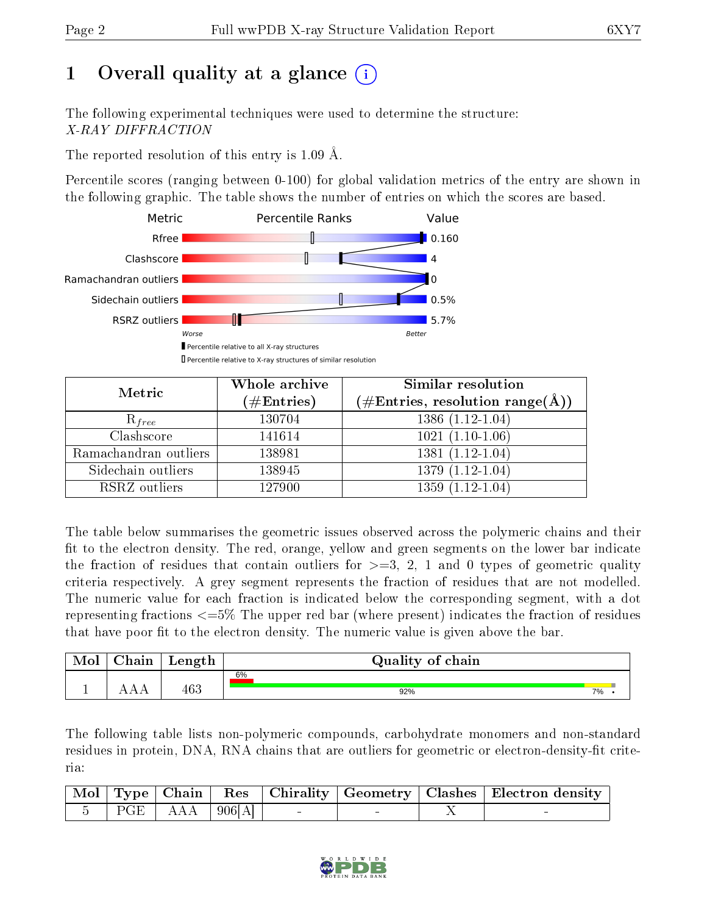# 1 [O](https://www.wwpdb.org/validation/2017/XrayValidationReportHelp#overall_quality)verall quality at a glance  $(i)$

The following experimental techniques were used to determine the structure: X-RAY DIFFRACTION

The reported resolution of this entry is 1.09 Å.

Percentile scores (ranging between 0-100) for global validation metrics of the entry are shown in the following graphic. The table shows the number of entries on which the scores are based.



| Metric                | Whole archive<br>$(\#\text{Entries})$ | Similar resolution<br>$(\#\text{Entries},\,\text{resolution}\,\,\text{range}(\textup{\AA}))$ |
|-----------------------|---------------------------------------|----------------------------------------------------------------------------------------------|
| $R_{free}$            | 130704                                | $1386(1.12-1.04)$                                                                            |
| Clashscore            | 141614                                | $1021(1.10-1.06)$                                                                            |
| Ramachandran outliers | 138981                                | $\overline{1381}$ $(1.12-1.04)$                                                              |
| Sidechain outliers    | 138945                                | $1379(1.12-1.04)$                                                                            |
| RSRZ outliers         | 127900                                | $1359(1.12-1.04)$                                                                            |

The table below summarises the geometric issues observed across the polymeric chains and their fit to the electron density. The red, orange, yellow and green segments on the lower bar indicate the fraction of residues that contain outliers for  $>=3, 2, 1$  and 0 types of geometric quality criteria respectively. A grey segment represents the fraction of residues that are not modelled. The numeric value for each fraction is indicated below the corresponding segment, with a dot representing fractions <=5% The upper red bar (where present) indicates the fraction of residues that have poor fit to the electron density. The numeric value is given above the bar.

| Mol | ${\bf Chain}$ | Length | Quality of chain |    |
|-----|---------------|--------|------------------|----|
|     |               |        | 6%               |    |
|     |               | 463    | 92%              | 7% |

The following table lists non-polymeric compounds, carbohydrate monomers and non-standard residues in protein, DNA, RNA chains that are outliers for geometric or electron-density-fit criteria:

|  |                                                                                       |  |  | Mol   Type   Chain   Res   Chirality   Geometry   Clashes   Electron density |
|--|---------------------------------------------------------------------------------------|--|--|------------------------------------------------------------------------------|
|  | $\begin{array}{ c c c c c c c c c } \hline 5 & PGE & AAA & 906[A] \hline \end{array}$ |  |  |                                                                              |

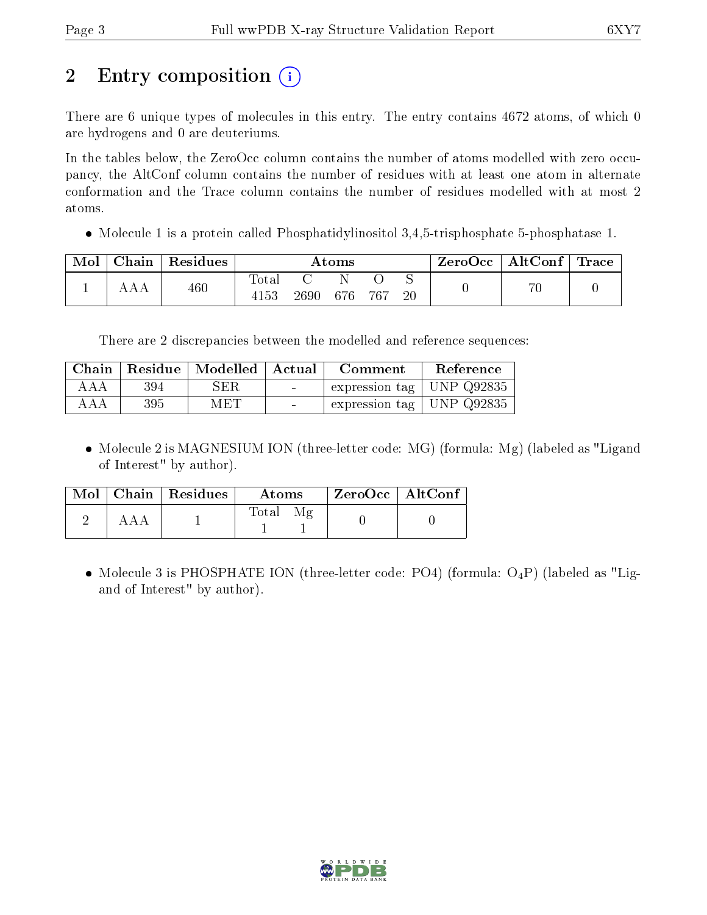# 2 Entry composition  $\left( \cdot \right)$

There are 6 unique types of molecules in this entry. The entry contains 4672 atoms, of which 0 are hydrogens and 0 are deuteriums.

In the tables below, the ZeroOcc column contains the number of atoms modelled with zero occupancy, the AltConf column contains the number of residues with at least one atom in alternate conformation and the Trace column contains the number of residues modelled with at most 2 atoms.

 $\bullet$  Molecule 1 is a protein called Phosphatidylinositol 3,4,5-trisphosphate 5-phosphatase 1.

| Mol | Chain   Residues | Atoms               |      |     |       | $\text{ZeroOcc}$   AltConf   Trace |  |  |
|-----|------------------|---------------------|------|-----|-------|------------------------------------|--|--|
|     | 460              | $\rm Total$<br>4153 | 2690 | 676 | - 767 | 20                                 |  |  |

There are 2 discrepancies between the modelled and reference sequences:

| Chain |     | Residue   Modelled   Actual |                                   | Comment                       | Reference |
|-------|-----|-----------------------------|-----------------------------------|-------------------------------|-----------|
| AAA   | 394 | SER.                        | <b>Contract Contract Contract</b> | expression tag   UNP $Q92835$ |           |
| AAA   | 395 | MET                         | $\sim$ $\sim$                     | expression tag   UNP $Q92835$ |           |

• Molecule 2 is MAGNESIUM ION (three-letter code: MG) (formula: Mg) (labeled as "Ligand of Interest" by author).

|     | $Mol$   Chain   Residues | Atoms       | ZeroOcc   AltConf |  |
|-----|--------------------------|-------------|-------------------|--|
| ААА |                          | Total<br>Μø |                   |  |

• Molecule 3 is PHOSPHATE ION (three-letter code: PO4) (formula:  $O_4P$ ) (labeled as "Ligand of Interest" by author).

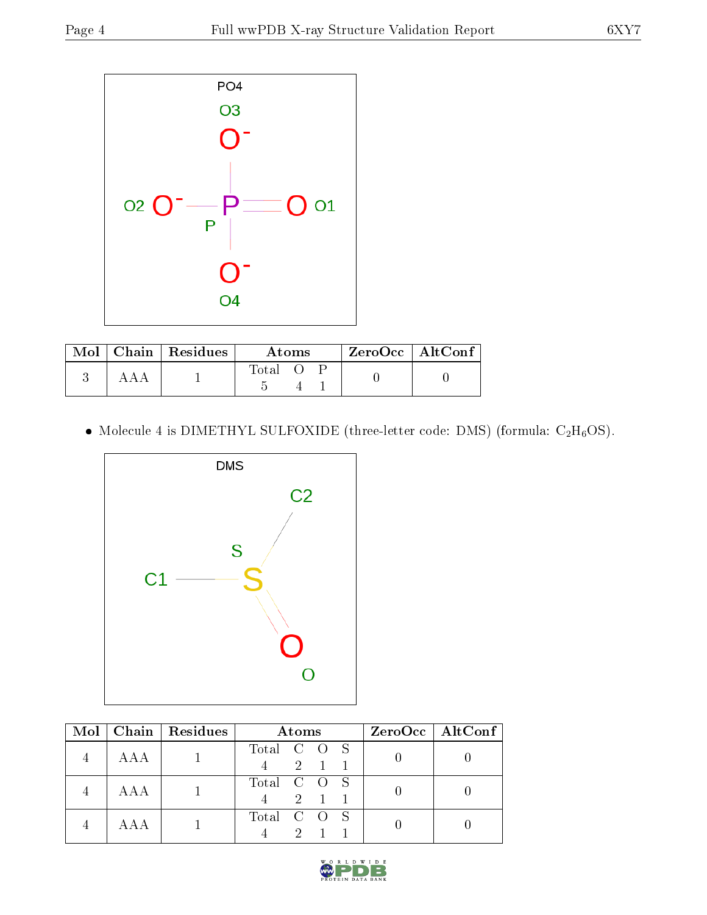

|  | $\text{Mol}$   Chain   Residues | Atoms |  |  | $ZeroOcc$   AltConf |  |
|--|---------------------------------|-------|--|--|---------------------|--|
|  |                                 | Total |  |  |                     |  |

• Molecule 4 is DIMETHYL SULFOXIDE (three-letter code: DMS) (formula:  $C_2H_6OS$ ).



|     | Mol   Chain   Residues | Atoms                             | $ZeroOcc \   \$ AltConf |
|-----|------------------------|-----------------------------------|-------------------------|
| AAA |                        | Total C O S<br>$4 \t 2 \t 1 \t 1$ |                         |
| AAA |                        | Total C O S<br>2 1 1              |                         |
|     |                        | Total C O S<br>$2^{\circ}$        |                         |

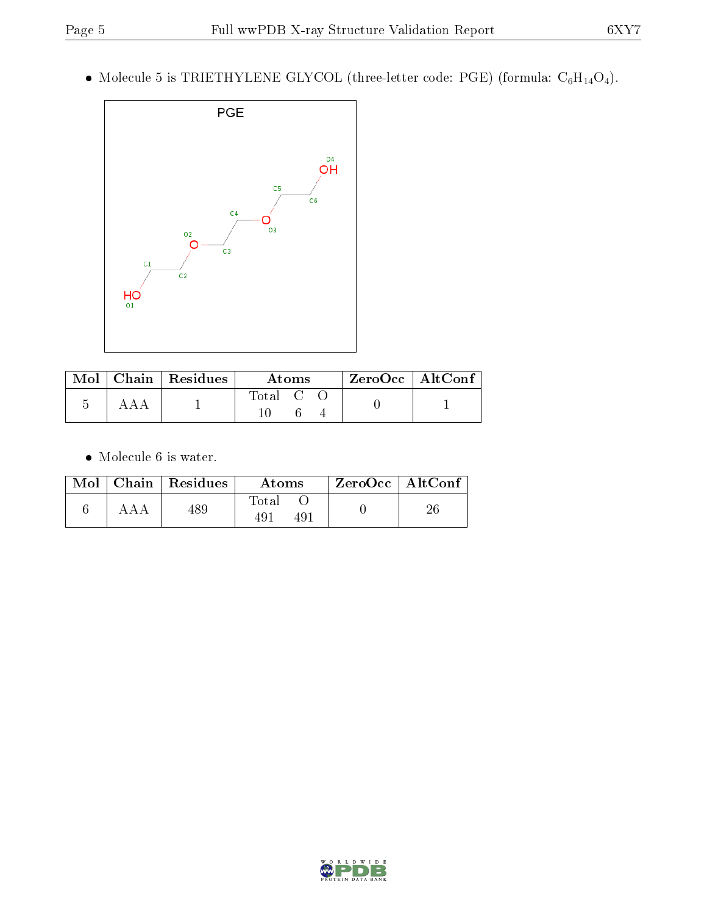$\bullet$  Molecule 5 is TRIETHYLENE GLYCOL (three-letter code: PGE) (formula:  $\mathrm{C}_6\mathrm{H}_{14}\mathrm{O}_4).$ 



|  | $\text{Mol}$   Chain   Residues | Atoms                  | $ZeroOcc \mid AltConf$ |
|--|---------------------------------|------------------------|------------------------|
|  |                                 | $\mathrm{Total}$ C $-$ |                        |

 $\bullet\,$  Molecule 6 is water.

|     | $\text{Mol}$   Chain   Residues | Atoms              | $ZeroOcc \mid AltConf \mid$ |  |
|-----|---------------------------------|--------------------|-----------------------------|--|
| ААА | 489                             | $\rm Total$<br>491 |                             |  |

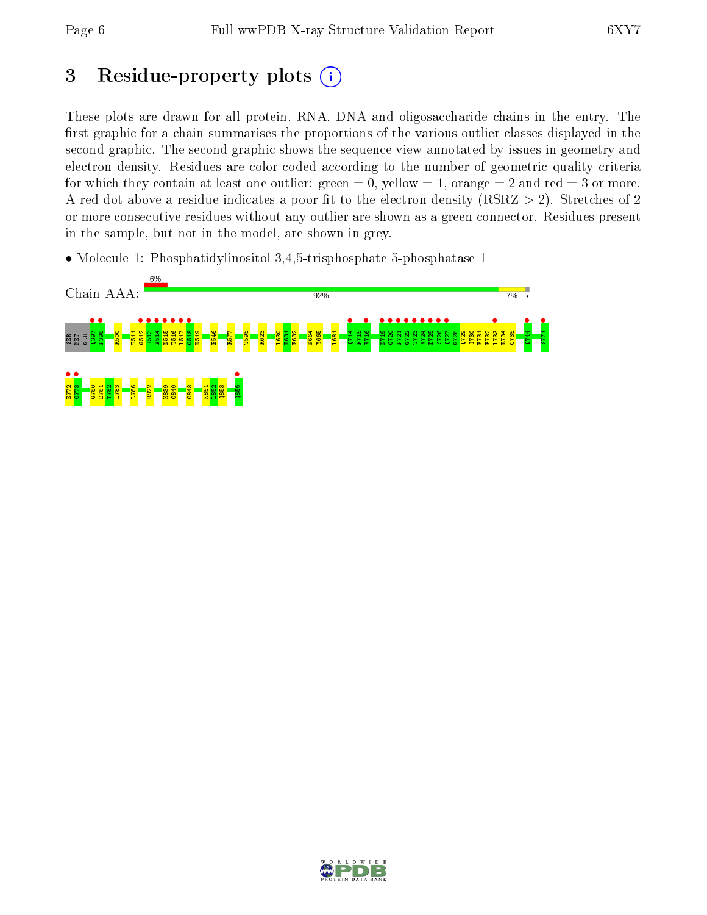# 3 Residue-property plots  $(i)$

These plots are drawn for all protein, RNA, DNA and oligosaccharide chains in the entry. The first graphic for a chain summarises the proportions of the various outlier classes displayed in the second graphic. The second graphic shows the sequence view annotated by issues in geometry and electron density. Residues are color-coded according to the number of geometric quality criteria for which they contain at least one outlier: green  $= 0$ , yellow  $= 1$ , orange  $= 2$  and red  $= 3$  or more. A red dot above a residue indicates a poor fit to the electron density ( $RSRZ > 2$ ). Stretches of 2 or more consecutive residues without any outlier are shown as a green connector. Residues present in the sample, but not in the model, are shown in grey.

• Molecule 1: Phosphatidylinositol 3,4,5-trisphosphate 5-phosphatase 1



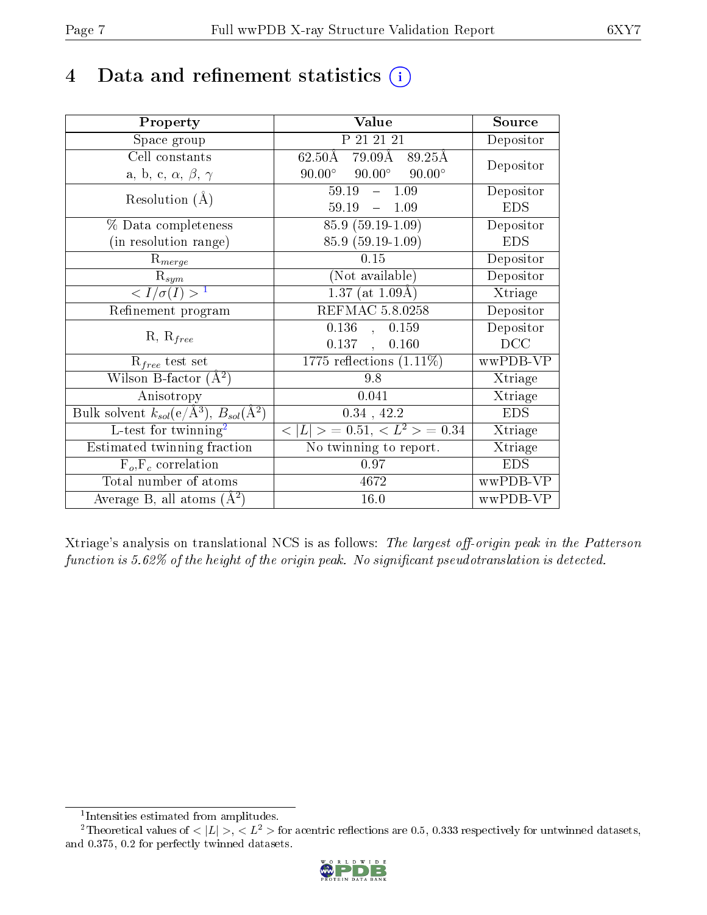# 4 Data and refinement statistics  $(i)$

| Property                                                   | Value                                           | Source            |
|------------------------------------------------------------|-------------------------------------------------|-------------------|
| Space group                                                | P 21 21 21                                      | Depositor         |
| Cell constants                                             | $79.09\AA$ 89.25Å<br>$62.50\rm\AA$              | Depositor         |
| a, b, c, $\alpha$ , $\beta$ , $\gamma$                     | $90.00^\circ$<br>$90.00^\circ$<br>$90.00^\circ$ |                   |
| Resolution $(A)$                                           | 59.19<br>1.09<br>$\frac{1}{2}$                  | Depositor         |
|                                                            | $59.19 - 1.09$                                  | <b>EDS</b>        |
| % Data completeness                                        | $85.9(59.19-1.09)$                              | Depositor         |
| (in resolution range)                                      | 85.9 (59.19-1.09)                               | <b>EDS</b>        |
| $R_{merge}$                                                | 0.15                                            | Depositor         |
| $\mathrm{R}_{sym}$                                         | (Not available)                                 | Depositor         |
| $\langle I/\sigma(I) \rangle^{-1}$                         | $1.37$ (at $1.09\text{\AA})$                    | Xtriage           |
| Refinement program                                         | REFMAC 5.8.0258                                 | Depositor         |
| $R, R_{free}$                                              | $0.136$ ,<br>0.159                              | Depositor         |
|                                                            | 0.137,<br>0.160                                 | $_{\mathrm{DCC}}$ |
| $R_{free}$ test set                                        | 1775 reflections $(1.11\%)$                     | wwPDB-VP          |
| Wilson B-factor $(\AA^2)$                                  | 9.8                                             | Xtriage           |
| Anisotropy                                                 | 0.041                                           | Xtriage           |
| Bulk solvent $k_{sol}$ (e/Å <sup>3</sup> ), $B_{sol}(A^2)$ | $0.34$ , $42.2$                                 | <b>EDS</b>        |
| L-test for twinning <sup>2</sup>                           | $< L >$ = 0.51, $< L^2 >$ = 0.34                | Xtriage           |
| Estimated twinning fraction                                | No twinning to report.                          | Xtriage           |
| $F_o, F_c$ correlation                                     | 0.97                                            | <b>EDS</b>        |
| Total number of atoms                                      | 4672                                            | wwPDB-VP          |
| Average B, all atoms $(A^2)$                               | 16.0                                            | wwPDB-VP          |

Xtriage's analysis on translational NCS is as follows: The largest off-origin peak in the Patterson function is  $5.62\%$  of the height of the origin peak. No significant pseudotranslation is detected.

<sup>&</sup>lt;sup>2</sup>Theoretical values of  $\langle |L| \rangle$ ,  $\langle L^2 \rangle$  for acentric reflections are 0.5, 0.333 respectively for untwinned datasets, and 0.375, 0.2 for perfectly twinned datasets.



<span id="page-6-1"></span><span id="page-6-0"></span><sup>1</sup> Intensities estimated from amplitudes.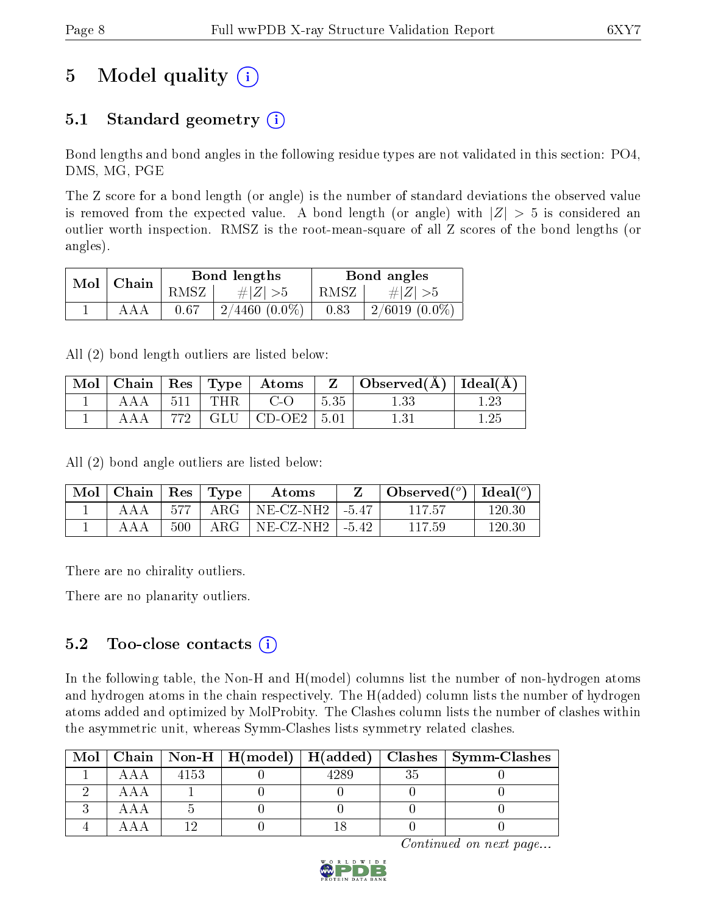# 5 Model quality  $(i)$

## 5.1 Standard geometry  $(i)$

Bond lengths and bond angles in the following residue types are not validated in this section: PO4, DMS, MG, PGE

The Z score for a bond length (or angle) is the number of standard deviations the observed value is removed from the expected value. A bond length (or angle) with  $|Z| > 5$  is considered an outlier worth inspection. RMSZ is the root-mean-square of all Z scores of the bond lengths (or angles).

|               |     |      | Bond lengths    |      | Bond angles     |
|---------------|-----|------|-----------------|------|-----------------|
| $Mol$   Chain |     | RMSZ | # $ Z  > 5$     | RMSZ | # $ Z  > 5$     |
|               | ААА | 0.67 | $2/4460(0.0\%)$ | 0.83 | $2/6019(0.0\%)$ |

All (2) bond length outliers are listed below:

|  |  |                                   |           | $\mid$ Mol $\mid$ Chain $\mid$ Res $\mid$ Type $\mid$ Atoms $\mid$ Z $\mid$ Observed(Å) $\mid$ Ideal(Å) $\mid$ |      |
|--|--|-----------------------------------|-----------|----------------------------------------------------------------------------------------------------------------|------|
|  |  | $AAA$   511   THR   C-O           | $1\,5.35$ | 1.33                                                                                                           | 1.23 |
|  |  | $AAA$   772   GLU   CD-OE2   5.01 |           | 1.31                                                                                                           | 1.25 |

All (2) bond angle outliers are listed below:

| $\text{Mol}$   Chain   Res   Type |     | Atoms                            | $\bullet$ Observed $(^\circ)$   Ideal $(^\circ)$ |        |
|-----------------------------------|-----|----------------------------------|--------------------------------------------------|--------|
| AAA                               |     | 577   ARG   NE-CZ-NH2   -5.47    | -117.57                                          | 120.30 |
| ΑAA                               | 500 | $\text{ARG}$   NE-CZ-NH2   -5.42 | 117.59                                           | 120.30 |

There are no chirality outliers.

There are no planarity outliers.

### $5.2$  Too-close contacts  $\overline{()}$

In the following table, the Non-H and H(model) columns list the number of non-hydrogen atoms and hydrogen atoms in the chain respectively. The H(added) column lists the number of hydrogen atoms added and optimized by MolProbity. The Clashes column lists the number of clashes within the asymmetric unit, whereas Symm-Clashes lists symmetry related clashes.

| Mol |      |  | Chain   Non-H   H(model)   H(added)   Clashes   Symm-Clashes |
|-----|------|--|--------------------------------------------------------------|
|     | 4153 |  |                                                              |
|     |      |  |                                                              |
|     |      |  |                                                              |
|     |      |  |                                                              |

Continued on next page...

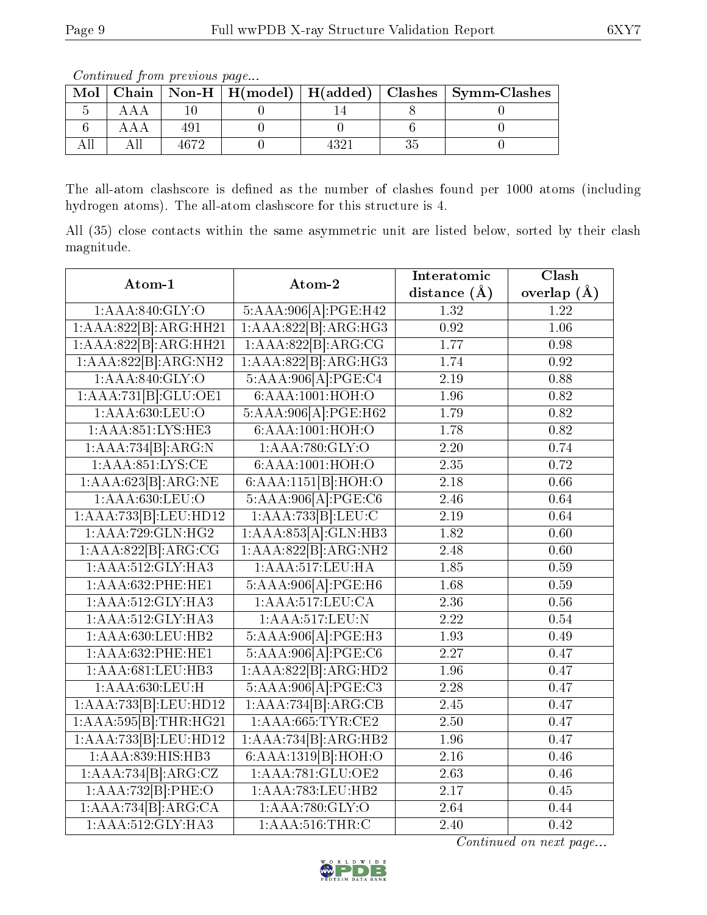|  | <u>oo issanad oo jigiisha jirooso doo jigaan</u> |  | Mol   Chain   Non-H   H(model)   H(added)   Clashes   Symm-Clashes |
|--|--------------------------------------------------|--|--------------------------------------------------------------------|
|  |                                                  |  |                                                                    |
|  |                                                  |  |                                                                    |
|  | 1679                                             |  |                                                                    |

Continued from previous page...

The all-atom clashscore is defined as the number of clashes found per 1000 atoms (including hydrogen atoms). The all-atom clashscore for this structure is 4.

All (35) close contacts within the same asymmetric unit are listed below, sorted by their clash magnitude.

| Atom-1                                                                                                                          | Atom-2               | Interatomic       | $\overline{\text{Clash}}$ |
|---------------------------------------------------------------------------------------------------------------------------------|----------------------|-------------------|---------------------------|
|                                                                                                                                 |                      | distance $(\AA)$  | overlap $(\AA)$           |
| 1:AAA:840:GLY:O                                                                                                                 | 5:AAA:906[A]:PGE:H42 | 1.32              | $\overline{1.22}$         |
| 1:AAA:822[B].ARG:HH21                                                                                                           | 1:AAA:822[B]:ARG:HG3 | $\overline{0.92}$ | $\overline{1.06}$         |
| 1:AAA:822[B]:ARG:HH21                                                                                                           | 1:AAA:822[B].ABC:CG  | 1.77              | 0.98                      |
| 1:AAA:822[B]:ARG:NH2                                                                                                            | 1:AAA:822[B]:ARG:HG3 | 1.74              | 0.92                      |
| 1:AAA:840:GLY:O                                                                                                                 | 5:AAA:906[A]:PGE:C4  | 2.19              | 0.88                      |
| 1:AAA:731[B]:GLU:OE1                                                                                                            | 6:AAA:1001:HOH:O     | 1.96              | 0.82                      |
| 1:AAA:630:LEU:O                                                                                                                 | 5:AAA:906[A]:PGE:H62 | 1.79              | 0.82                      |
| 1:AAA:851:LYS:HE3                                                                                                               | 6:AAA:1001:HOH:O     | 1.78              | 0.82                      |
| $1:\stackrel{\frown}{\textbf{A}}\stackrel{\frown}{\textbf{A}}\stackrel{\frown}{\textbf{A}}\stackrel{\frown}{\textbf{B}}$ :ARG:N | 1:AAA:780:GLY:O      | $\overline{2.20}$ | 0.74                      |
| 1:AAA:851:LYS:CE                                                                                                                | 6:AAA:1001:HOH:O     | 2.35              | 0.72                      |
| 1:AAA:623[B]:ARG:NE                                                                                                             | 6:AA:1151[B]:HOH:O   | 2.18              | 0.66                      |
| 1:AAA:630:LEU:O                                                                                                                 | 5:AAA:906[A]:PGE:C6  | 2.46              | 0.64                      |
| 1:AAA:733 B :LEU:HD12                                                                                                           | 1:AAA:733[B].LEU:C   | 2.19              | 0.64                      |
| 1:AAA:729:GLN:HG2                                                                                                               | 1:AAA:853[A]:GLN:HB3 | 1.82              | $\overline{0.60}$         |
| 1:AAA:822[B]:ARG:CG                                                                                                             | 1:AAA:822[B]:ARG:NH2 | 2.48              | 0.60                      |
| 1:AAA:512:GLY:HA3                                                                                                               | 1:AAA:517:LEU:HA     | 1.85              | 0.59                      |
| 1:AAA:632:PHE:HE1                                                                                                               | 5:AAA:906[A]:PGE:H6  | 1.68              | 0.59                      |
| 1:AAA:512:GLY:HA3                                                                                                               | 1:AAA:517:LEU:CA     | 2.36              | 0.56                      |
| 1:AAA:512:GLY:HA3                                                                                                               | 1:AAA:517:LEU:N      | 2.22              | 0.54                      |
| 1:AAA:630:LEU:HB2                                                                                                               | 5:AAA:906[A]:PGE:H3  | 1.93              | 0.49                      |
| 1:AAA:632:PHE:HE1                                                                                                               | 5:AAA:906[A]:PGE:C6  | 2.27              | 0.47                      |
| 1:AAA:681:LEU:HB3                                                                                                               | 1:AAA:822[B]:ARG:HD2 | 1.96              | 0.47                      |
| 1:AAA:630:LEU:H                                                                                                                 | 5:AAA:906[A]:PGE:C3  | 2.28              | 0.47                      |
| 1:AAA:733[B]:LEU:HD12                                                                                                           | 1:AAA:734[B]:ARG:CB  | 2.45              | 0.47                      |
| 1:AAA:595[B]:THR:HG21                                                                                                           | 1:AAA:665:TYR:CE2    | 2.50              | 0.47                      |
| $1:AAA:733[B]:LEU:H\overline{D12}$                                                                                              | 1:AAA:734[B]:ARG:HB2 | 1.96              | 0.47                      |
| 1:AAA:839:HIS:HB3                                                                                                               | 6:AAA:1319[B]:HOH:O  | 2.16              | 0.46                      |
| 1:AAA:734[B]:ARG:CZ                                                                                                             | 1:AA4:781:GLU:OE2    | 2.63              | 0.46                      |
| 1:AAA:732 B :PHE:O                                                                                                              | 1:AAA:783:LEU:HB2    | 2.17              | 0.45                      |
| 1:AAA:734[B]:ARG:CA                                                                                                             | 1:AAA:780:GLY:O      | 2.64              | 0.44                      |
| 1:AAA:512:GLY:HA3                                                                                                               | 1:AAA:516:THR:C      | 2.40              | 0.42                      |

Continued on next page...

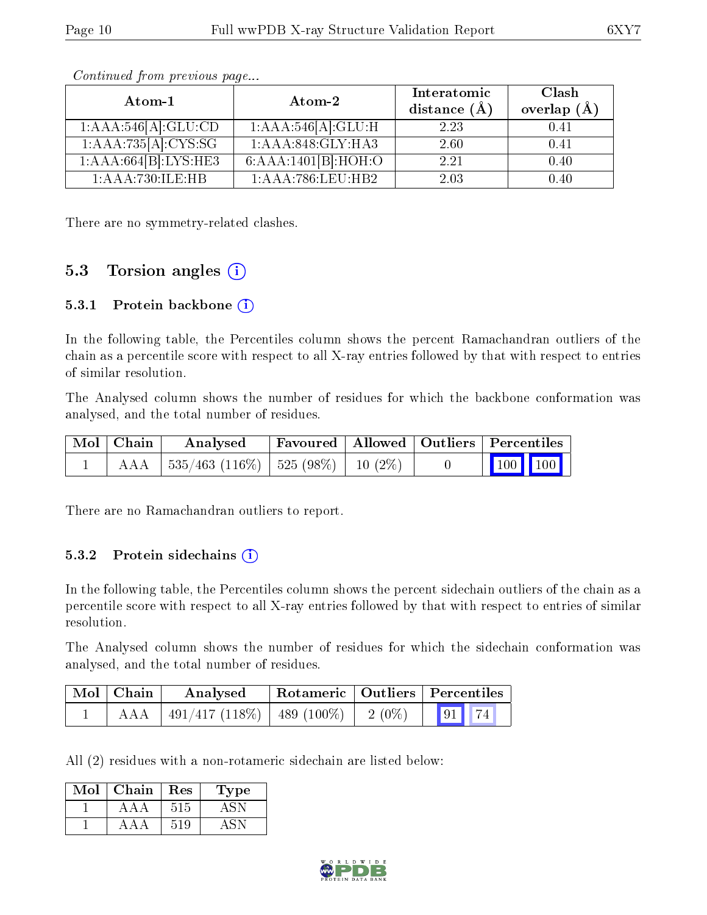| Atom-1               | Atom-2                           | Interatomic<br>distance $(\AA)$ | Clash<br>overlap $(\AA)$ |  |
|----------------------|----------------------------------|---------------------------------|--------------------------|--|
| 1:AA4:546[A]:GLU:CD  | 1:AAA:546[A]:GLU:H               | 2.23                            | 0.41                     |  |
| 1:AAA:735[A]:CYS:SG  | $1:AAA:\overline{848:GLY:HA3}$   | 2.60                            | 0.41                     |  |
| 1:AAA:664[B]:LYS:HE3 | $6:AAA:1401[B]:H\overline{OH:O}$ | 2.21                            | 0.40                     |  |
| 1:AAA:730:ILE:HB     | 1:AAA:786:LEU:HB2                | 2.03                            | 0.40                     |  |

Continued from previous page...

There are no symmetry-related clashes.

### 5.3 Torsion angles  $(i)$

#### 5.3.1 Protein backbone  $(i)$

In the following table, the Percentiles column shows the percent Ramachandran outliers of the chain as a percentile score with respect to all X-ray entries followed by that with respect to entries of similar resolution.

The Analysed column shows the number of residues for which the backbone conformation was analysed, and the total number of residues.

| $\vert$ Mol $\vert$ Chain $\vert$ | $\boldsymbol{\mathrm{Analysed}}$           | Favoured   Allowed   Outliers   Percentiles |  |                                                                                                   |  |
|-----------------------------------|--------------------------------------------|---------------------------------------------|--|---------------------------------------------------------------------------------------------------|--|
|                                   | AAA   535/463 (116%)   525 (98%)   10 (2%) |                                             |  | $\begin{array}{ c c c c }\n\hline\n\end{array}$ 100 $\begin{array}{ c c c }\n\hline\n\end{array}$ |  |

There are no Ramachandran outliers to report.

#### 5.3.2 Protein sidechains  $(i)$

In the following table, the Percentiles column shows the percent sidechain outliers of the chain as a percentile score with respect to all X-ray entries followed by that with respect to entries of similar resolution.

The Analysed column shows the number of residues for which the sidechain conformation was analysed, and the total number of residues.

| $\mid$ Mol $\mid$ Chain | Analysed                                  |          | Rotameric   Outliers   Percentiles |  |  |
|-------------------------|-------------------------------------------|----------|------------------------------------|--|--|
| AAA                     | $\mid$ 491/417 (118\%) $\mid$ 489 (100\%) | $2(0\%)$ | $\boxed{91}$ 74                    |  |  |

All (2) residues with a non-rotameric sidechain are listed below:

| Mol | Chain | Res | Type    |
|-----|-------|-----|---------|
|     | ААА   | 515 | $-4.5N$ |
|     | ΔДД   | 519 |         |

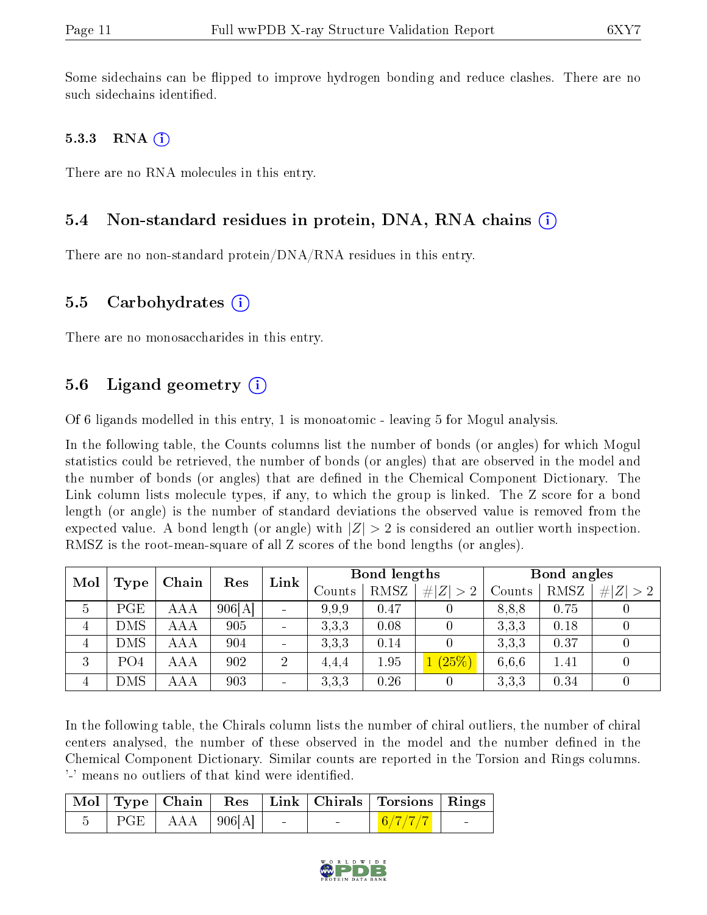Some sidechains can be flipped to improve hydrogen bonding and reduce clashes. There are no such sidechains identified.

#### 5.3.3 RNA  $(i)$

There are no RNA molecules in this entry.

### 5.4 Non-standard residues in protein, DNA, RNA chains  $(i)$

There are no non-standard protein/DNA/RNA residues in this entry.

#### 5.5 Carbohydrates  $(i)$

There are no monosaccharides in this entry.

### 5.6 Ligand geometry  $(i)$

Of 6 ligands modelled in this entry, 1 is monoatomic - leaving 5 for Mogul analysis.

In the following table, the Counts columns list the number of bonds (or angles) for which Mogul statistics could be retrieved, the number of bonds (or angles) that are observed in the model and the number of bonds (or angles) that are dened in the Chemical Component Dictionary. The Link column lists molecule types, if any, to which the group is linked. The Z score for a bond length (or angle) is the number of standard deviations the observed value is removed from the expected value. A bond length (or angle) with  $|Z| > 2$  is considered an outlier worth inspection. RMSZ is the root-mean-square of all Z scores of the bond lengths (or angles).

|   | Mol<br>Res<br>Chain<br>Type |            | Link   | Bond lengths                 |        |      | Bond angles    |        |      |             |
|---|-----------------------------|------------|--------|------------------------------|--------|------|----------------|--------|------|-------------|
|   |                             |            |        |                              | Counts | RMSZ | # $ Z  > 2$    | Counts | RMSZ | # $ Z  > 2$ |
| 5 | PGE                         | AAA        | 906[A] | $\qquad \qquad \blacksquare$ | 9.9.9  | 0.47 | U              | 8,8,8  | 0.75 |             |
| 4 | DMS                         | AAA        | 905    | $\overline{\phantom{0}}$     | 3,3,3  | 0.08 |                | 3,3,3  | 0.18 |             |
| 4 | DMS                         | AAA        | 904    | $\overline{\phantom{0}}$     | 3.3.3  | 0.14 | $\theta$       | 3,3,3  | 0.37 |             |
| 3 | PO <sub>4</sub>             | <b>AAA</b> | 902    | $\overline{2}$               | 4,4,4  | 1.95 | 1(25%)         | 6.6.6  | 1.41 |             |
| 4 | DMS                         | AAA        | 903    | $\overline{\phantom{0}}$     | 3,3,3  | 0.26 | $\overline{0}$ | 3,3,3  | 0.34 |             |

In the following table, the Chirals column lists the number of chiral outliers, the number of chiral centers analysed, the number of these observed in the model and the number defined in the Chemical Component Dictionary. Similar counts are reported in the Torsion and Rings columns. '-' means no outliers of that kind were identified.

|  |                                                  |  |                                   | Mol Type Chain Res Link Chirals Torsions Rings |                          |
|--|--------------------------------------------------|--|-----------------------------------|------------------------------------------------|--------------------------|
|  | $\vert$ PGE $\vert$ AAA $\vert$ 906[A] $\vert$ - |  | <b>Contract Contract Contract</b> | $6/7/7/7$ .                                    | <b>Contract Contract</b> |

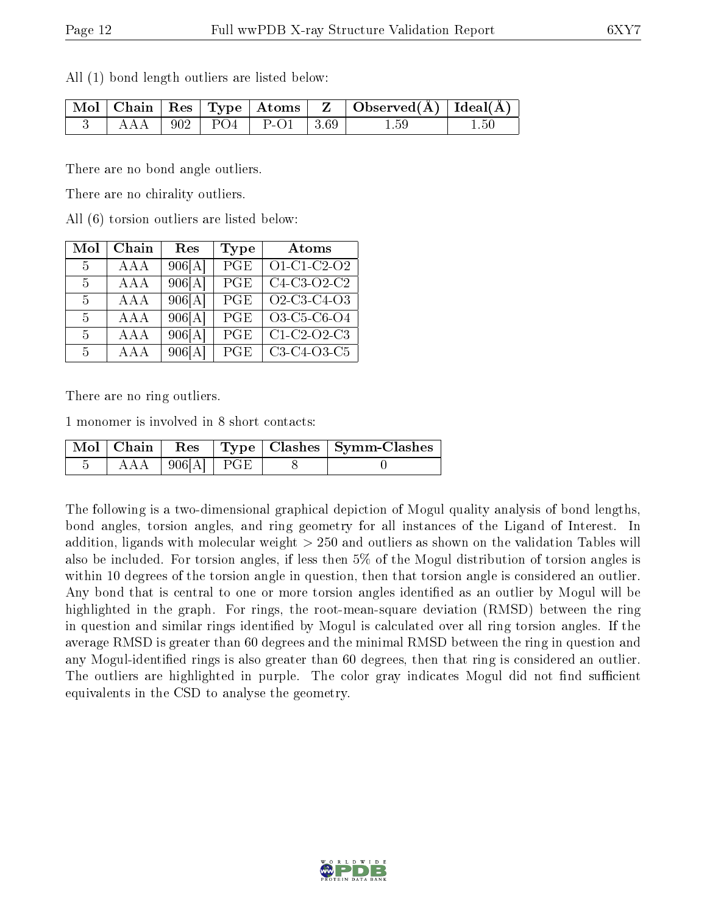All (1) bond length outliers are listed below:

|  |  |                                 | $\mid$ Mol $\mid$ Chain $\mid$ Res $\mid$ Type $\mid$ Atoms $\mid$ Z $\mid$ Observed(Å) $\mid$ Ideal(Å) $\mid$ |  |
|--|--|---------------------------------|----------------------------------------------------------------------------------------------------------------|--|
|  |  | $AAA$   902   PO4   P-O1   3.69 | 1.59                                                                                                           |  |

There are no bond angle outliers.

There are no chirality outliers.

All (6) torsion outliers are listed below:

| Mol            | Chain      | Res                      | Type       | Atoms                     |
|----------------|------------|--------------------------|------------|---------------------------|
| $-5$           | AAA        | 906[A]                   | PGE        | O1-C1-C2-O2               |
| $-5$           | AAA        | 906[A]                   | PGE        | $\overline{C4-C3}$ -O2-C2 |
| $-5$           | AAA        | 906[A]                   | PGE        | O2-C3-C4-O3               |
| 5              | <b>AAA</b> | 906[A]                   | PGE        | O3-C5-C6-O4               |
| 5              | AAA        | 906[A]                   | PGE        | $\overline{C1-C2}$ -O2-C3 |
| 5 <sup>5</sup> | A A A      | $906[\overline{\rm Al}]$ | <b>PGE</b> | C3-C4-O3-C5               |

There are no ring outliers.

1 monomer is involved in 8 short contacts:

|  |               |  | Mol   Chain   Res   Type   Clashes   Symm-Clashes |
|--|---------------|--|---------------------------------------------------|
|  | $\log[A]$ PGE |  |                                                   |

The following is a two-dimensional graphical depiction of Mogul quality analysis of bond lengths, bond angles, torsion angles, and ring geometry for all instances of the Ligand of Interest. In addition, ligands with molecular weight > 250 and outliers as shown on the validation Tables will also be included. For torsion angles, if less then 5% of the Mogul distribution of torsion angles is within 10 degrees of the torsion angle in question, then that torsion angle is considered an outlier. Any bond that is central to one or more torsion angles identified as an outlier by Mogul will be highlighted in the graph. For rings, the root-mean-square deviation (RMSD) between the ring in question and similar rings identified by Mogul is calculated over all ring torsion angles. If the average RMSD is greater than 60 degrees and the minimal RMSD between the ring in question and any Mogul-identified rings is also greater than 60 degrees, then that ring is considered an outlier. The outliers are highlighted in purple. The color gray indicates Mogul did not find sufficient equivalents in the CSD to analyse the geometry.

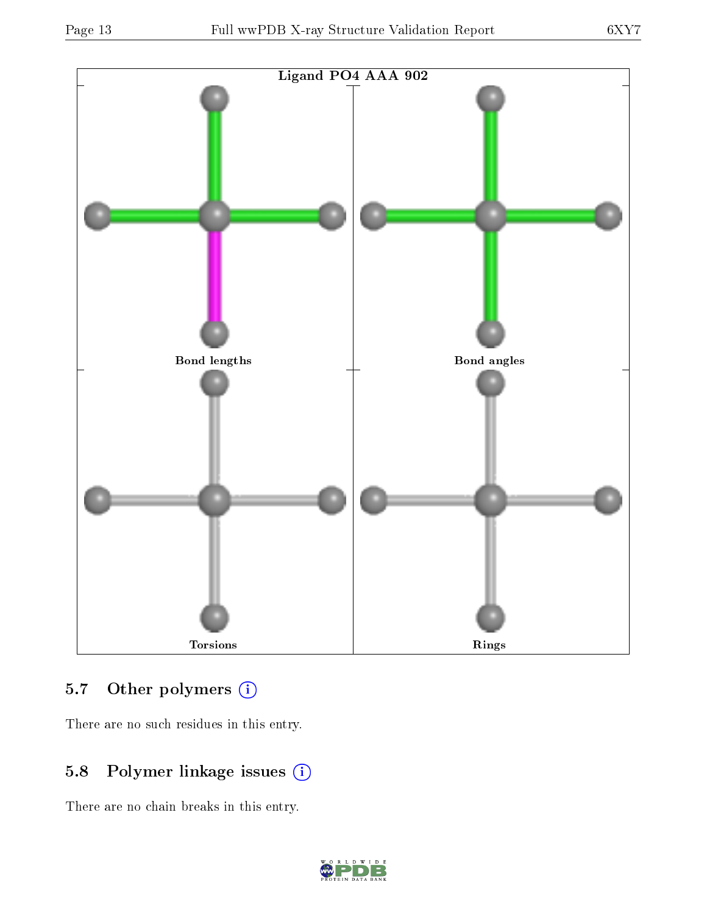

## 5.7 [O](https://www.wwpdb.org/validation/2017/XrayValidationReportHelp#nonstandard_residues_and_ligands)ther polymers (i)

There are no such residues in this entry.

## 5.8 Polymer linkage issues (i)

There are no chain breaks in this entry.

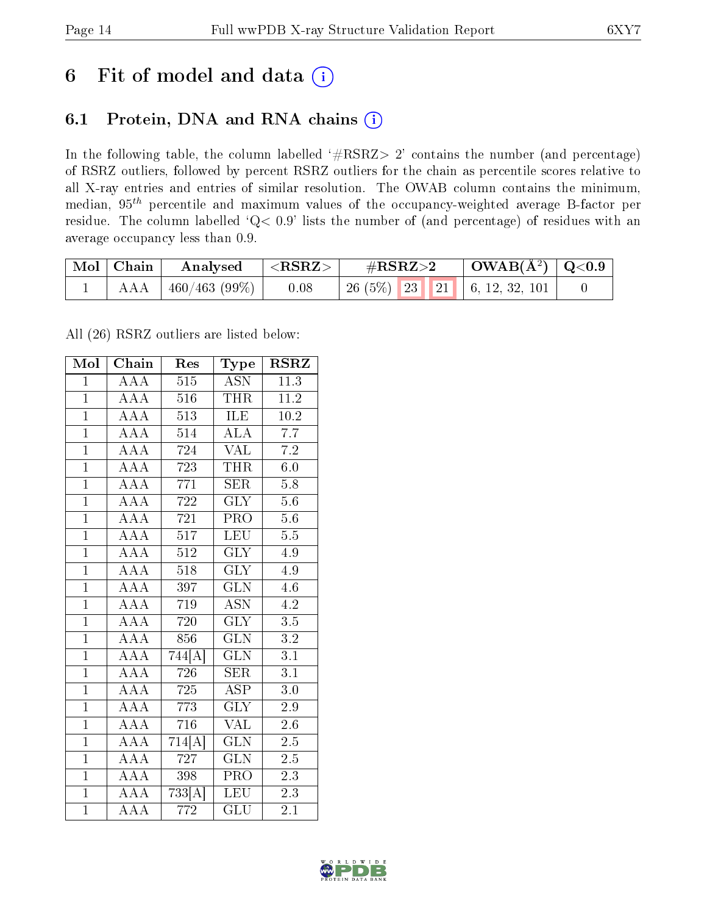## 6 Fit of model and data  $(i)$

## 6.1 Protein, DNA and RNA chains  $(i)$

In the following table, the column labelled  $#RSRZ> 2'$  contains the number (and percentage) of RSRZ outliers, followed by percent RSRZ outliers for the chain as percentile scores relative to all X-ray entries and entries of similar resolution. The OWAB column contains the minimum, median,  $95<sup>th</sup>$  percentile and maximum values of the occupancy-weighted average B-factor per residue. The column labelled ' $Q< 0.9$ ' lists the number of (and percentage) of residues with an average occupancy less than 0.9.

| $\vert$ Mol $\vert$ Chain | Analysed      | $  <$ RSRZ $>$ | $\#\text{RSRZ}{>}2$            | $\mid$ OWAB(Å <sup>2</sup> ) $\mid$ Q<0.9 |  |
|---------------------------|---------------|----------------|--------------------------------|-------------------------------------------|--|
| AAA +                     | 460/463 (99%) | 0.08           | $26(5\%)$ 23 21 6, 12, 32, 101 |                                           |  |

All (26) RSRZ outliers are listed below:

| Mol            | Chain                                              | Res              | Type                    | <b>RSRZ</b>       |
|----------------|----------------------------------------------------|------------------|-------------------------|-------------------|
| $\overline{1}$ | $\overline{\rm A}\overline{\rm A}\overline{\rm A}$ | 515              | <b>ASN</b>              | 11.3              |
| $\mathbf{1}$   | AAA                                                | 516              | <b>THR</b>              | 11.2              |
| $\mathbf{1}$   | $\overline{AAA}$                                   | 513              | ILE                     | $10.\overline{2}$ |
| $\overline{1}$ | AAA                                                | 514              | <b>ALA</b>              | 7.7               |
| $\overline{1}$ | $\overline{\text{AAA}}$                            | 724              | $\rm \sqrt{AL}$         | $\overline{7.2}$  |
| $\overline{1}$ | AAA                                                | 723              | $\overline{\text{THR}}$ | 6.0               |
| $\overline{1}$ | $\overline{AAA}$                                   | $\overline{771}$ | $\overline{\text{SER}}$ | 5.8               |
| $\overline{1}$ | AAA                                                | 722              | $\overline{\text{GLY}}$ | $5.6\,$           |
| $\overline{1}$ | AAA                                                | 721              | PRO                     | 5.6               |
| $\mathbf{1}$   | $\overline{AAA}$                                   | 517              | <b>LEU</b>              | $5.\overline{5}$  |
| $\overline{1}$ | $\overline{AAA}$                                   | 512              | $\overline{\text{GLY}}$ | 4.9               |
| $\overline{1}$ | $\overline{\text{AAA}}$                            | $\overline{518}$ | $\overline{\text{GLY}}$ | 4.9               |
| $\overline{1}$ | AAA                                                | 397              | $\overline{\text{GLN}}$ | 4.6               |
| $\overline{1}$ | $\overline{AAA}$                                   | 719              | <b>ASN</b>              | 4.2               |
| $\overline{1}$ | $\overline{\text{AAA}}$                            | 720              | $\overline{\text{GLY}}$ | $\overline{3.5}$  |
| $\overline{1}$ | AAA                                                | 856              | <b>GLN</b>              | 3.2               |
| $\overline{1}$ | $\overline{\text{AAA}}$                            | 744[A]           | $\overline{\text{GLN}}$ | $\overline{3.1}$  |
| $\mathbf{1}$   | $\overline{\text{AAA}}$                            | 726              | <b>SER</b>              | 3.1               |
| $\overline{1}$ | AAA                                                | 725              | <b>ASP</b>              | 3.0               |
| $\overline{1}$ | $\overline{\rm AAA}$                               | 773              | $\overline{\text{GLY}}$ | 2.9               |
| $\overline{1}$ | $\overline{AAA}$                                   | 716              | $\overline{\text{VAL}}$ | $2.6\,$           |
| $\overline{1}$ | $\overline{AAA}$                                   | 714[A]           | $\overline{\text{GLN}}$ | $\overline{2.5}$  |
| $\overline{1}$ | AAA                                                | 727              | <b>GLN</b>              | $2.5\,$           |
| $\overline{1}$ | $\overline{\rm AAA}$                               | 398              | $\overline{\text{PRO}}$ | $\overline{2.3}$  |
| $\overline{1}$ | $\overline{AAA}$                                   | 733[A]           | LEU                     | 2.3               |
| $\mathbf{1}$   | AAA                                                | 772              | $\overline{{\rm GLU}}$  | 2.1               |

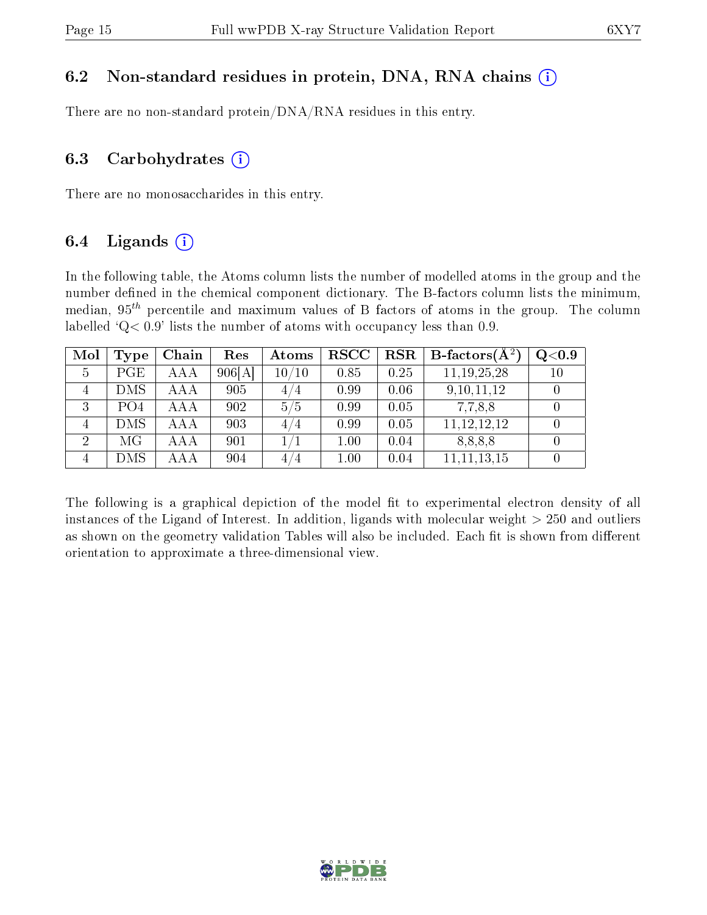### 6.2 Non-standard residues in protein, DNA, RNA chains  $(i)$

There are no non-standard protein/DNA/RNA residues in this entry.

#### 6.3 Carbohydrates  $(i)$

There are no monosaccharides in this entry.

### 6.4 Ligands  $(i)$

In the following table, the Atoms column lists the number of modelled atoms in the group and the number defined in the chemical component dictionary. The B-factors column lists the minimum, median,  $95<sup>th</sup>$  percentile and maximum values of B factors of atoms in the group. The column labelled  $Q< 0.9$ ' lists the number of atoms with occupancy less than 0.9.

| Mol | Type            | Chain | Res    | Atoms | <b>RSCC</b> | RSR  | <b>B</b> -factors $(\overline{A^2})$ | Q <sub>0.9</sub> |
|-----|-----------------|-------|--------|-------|-------------|------|--------------------------------------|------------------|
|     | PGE             | AAA   | 906[A] | 10/10 | 0.85        | 0.25 | 11, 19, 25, 28                       | 10               |
|     | <b>DMS</b>      | AAA   | 905    | 4/4   | 0.99        | 0.06 | 9, 10, 11, 12                        |                  |
|     | PO <sub>4</sub> | AAA   | 902    | 5/5   | 0.99        | 0.05 | 7,7,8,8                              |                  |
|     | <b>DMS</b>      | AAA   | 903    | 4/4   | 0.99        | 0.05 | 11, 12, 12, 12                       |                  |
| 2   | МG              | AAA   | 901    |       | 1.00        | 0.04 | 8,8,8,8                              |                  |
|     | DMS             | AAA   | 904    | 4/4   | 1.00        | 0.04 | 11, 11, 13, 15                       |                  |

The following is a graphical depiction of the model fit to experimental electron density of all instances of the Ligand of Interest. In addition, ligands with molecular weight  $> 250$  and outliers as shown on the geometry validation Tables will also be included. Each fit is shown from different orientation to approximate a three-dimensional view.

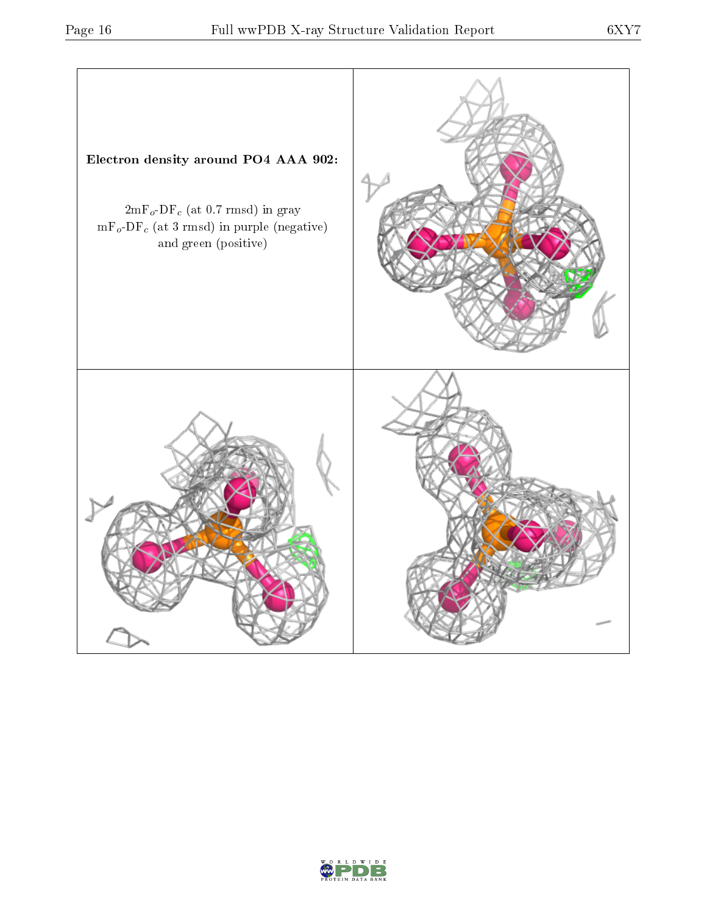